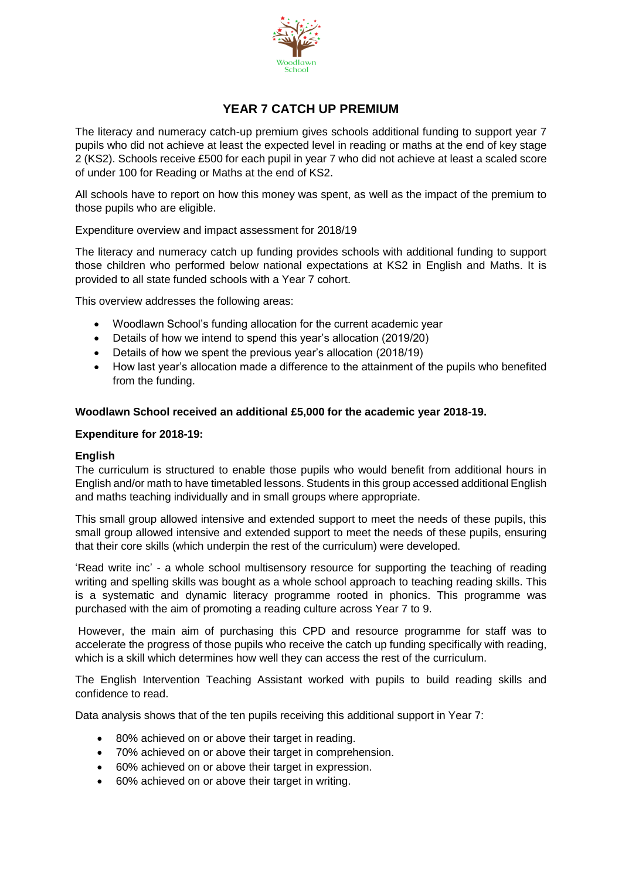

# **YEAR 7 CATCH UP PREMIUM**

The literacy and numeracy catch-up premium gives schools additional funding to support year 7 pupils who did not achieve at least the expected level in reading or maths at the end of key stage 2 (KS2). Schools receive £500 for each pupil in year 7 who did not achieve at least a scaled score of under 100 for Reading or Maths at the end of KS2.

All schools have to report on how this money was spent, as well as the impact of the premium to those pupils who are eligible.

# Expenditure overview and impact assessment for 2018/19

The literacy and numeracy catch up funding provides schools with additional funding to support those children who performed below national expectations at KS2 in English and Maths. It is provided to all state funded schools with a Year 7 cohort.

This overview addresses the following areas:

- Woodlawn School's funding allocation for the current academic year
- Details of how we intend to spend this year's allocation (2019/20)
- Details of how we spent the previous year's allocation (2018/19)
- How last year's allocation made a difference to the attainment of the pupils who benefited from the funding.

# **Woodlawn School received an additional £5,000 for the academic year 2018-19.**

## **Expenditure for 2018-19:**

#### **English**

The curriculum is structured to enable those pupils who would benefit from additional hours in English and/or math to have timetabled lessons. Students in this group accessed additional English and maths teaching individually and in small groups where appropriate.

This small group allowed intensive and extended support to meet the needs of these pupils, this small group allowed intensive and extended support to meet the needs of these pupils, ensuring that their core skills (which underpin the rest of the curriculum) were developed.

'Read write inc' - a whole school multisensory resource for supporting the teaching of reading writing and spelling skills was bought as a whole school approach to teaching reading skills. This is a systematic and dynamic literacy programme rooted in phonics. This programme was purchased with the aim of promoting a reading culture across Year 7 to 9.

However, the main aim of purchasing this CPD and resource programme for staff was to accelerate the progress of those pupils who receive the catch up funding specifically with reading, which is a skill which determines how well they can access the rest of the curriculum.

The English Intervention Teaching Assistant worked with pupils to build reading skills and confidence to read.

Data analysis shows that of the ten pupils receiving this additional support in Year 7:

- 80% achieved on or above their target in reading.
- 70% achieved on or above their target in comprehension.
- 60% achieved on or above their target in expression.
- 60% achieved on or above their target in writing.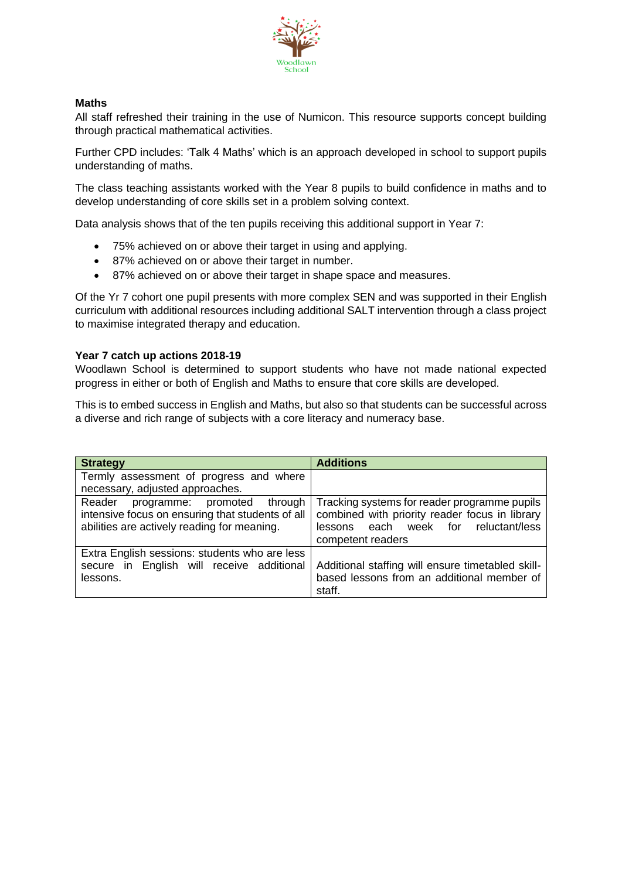

## **Maths**

All staff refreshed their training in the use of Numicon. This resource supports concept building through practical mathematical activities.

Further CPD includes: 'Talk 4 Maths' which is an approach developed in school to support pupils understanding of maths.

The class teaching assistants worked with the Year 8 pupils to build confidence in maths and to develop understanding of core skills set in a problem solving context.

Data analysis shows that of the ten pupils receiving this additional support in Year 7:

- 75% achieved on or above their target in using and applying.
- 87% achieved on or above their target in number.
- 87% achieved on or above their target in shape space and measures.

Of the Yr 7 cohort one pupil presents with more complex SEN and was supported in their English curriculum with additional resources including additional SALT intervention through a class project to maximise integrated therapy and education.

# **Year 7 catch up actions 2018-19**

Woodlawn School is determined to support students who have not made national expected progress in either or both of English and Maths to ensure that core skills are developed.

This is to embed success in English and Maths, but also so that students can be successful across a diverse and rich range of subjects with a core literacy and numeracy base.

| <b>Strategy</b>                                  | <b>Additions</b>                                  |
|--------------------------------------------------|---------------------------------------------------|
| Termly assessment of progress and where          |                                                   |
| necessary, adjusted approaches.                  |                                                   |
| Reader<br>through<br>programme: promoted         | Tracking systems for reader programme pupils      |
| intensive focus on ensuring that students of all | combined with priority reader focus in library    |
| abilities are actively reading for meaning.      | each week for reluctant/less<br>lessons           |
|                                                  | competent readers                                 |
| Extra English sessions: students who are less    |                                                   |
| secure in English will receive additional        | Additional staffing will ensure timetabled skill- |
| lessons.                                         | based lessons from an additional member of        |
|                                                  | staff.                                            |